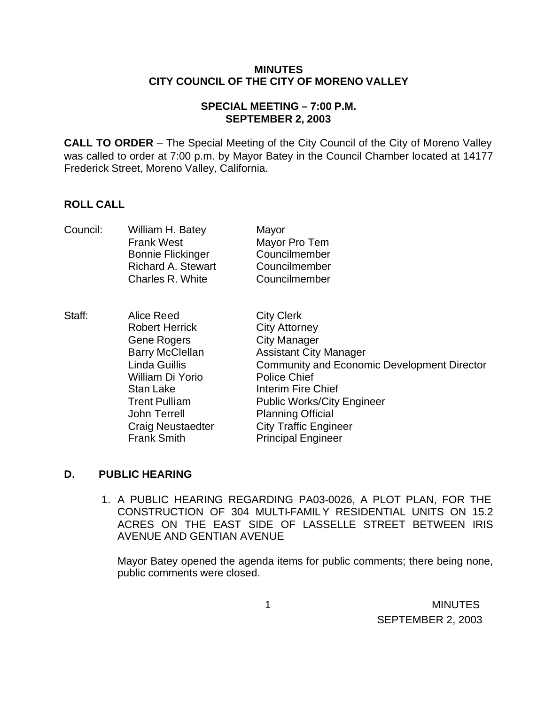#### **MINUTES CITY COUNCIL OF THE CITY OF MORENO VALLEY**

### **SPECIAL MEETING – 7:00 P.M. SEPTEMBER 2, 2003**

**CALL TO ORDER** – The Special Meeting of the City Council of the City of Moreno Valley was called to order at 7:00 p.m. by Mayor Batey in the Council Chamber located at 14177 Frederick Street, Moreno Valley, California.

# **ROLL CALL**

| Council: | William H. Batey<br><b>Frank West</b><br><b>Bonnie Flickinger</b><br><b>Richard A. Stewart</b><br>Charles R. White                                                                                                                     | Mayor<br>Mayor Pro Tem<br>Councilmember<br>Councilmember<br>Councilmember                                                                                                                                                                                                                                                                 |
|----------|----------------------------------------------------------------------------------------------------------------------------------------------------------------------------------------------------------------------------------------|-------------------------------------------------------------------------------------------------------------------------------------------------------------------------------------------------------------------------------------------------------------------------------------------------------------------------------------------|
| Staff:   | Alice Reed<br><b>Robert Herrick</b><br><b>Gene Rogers</b><br><b>Barry McClellan</b><br>Linda Guillis<br>William Di Yorio<br><b>Stan Lake</b><br><b>Trent Pulliam</b><br>John Terrell<br><b>Craig Neustaedter</b><br><b>Frank Smith</b> | <b>City Clerk</b><br><b>City Attorney</b><br><b>City Manager</b><br><b>Assistant City Manager</b><br><b>Community and Economic Development Director</b><br><b>Police Chief</b><br><b>Interim Fire Chief</b><br><b>Public Works/City Engineer</b><br><b>Planning Official</b><br><b>City Traffic Engineer</b><br><b>Principal Engineer</b> |

# **D. PUBLIC HEARING**

1. A PUBLIC HEARING REGARDING PA03-0026, A PLOT PLAN, FOR THE CONSTRUCTION OF 304 MULTI-FAMILY RESIDENTIAL UNITS ON 15.2 ACRES ON THE EAST SIDE OF LASSELLE STREET BETWEEN IRIS AVENUE AND GENTIAN AVENUE

Mayor Batey opened the agenda items for public comments; there being none, public comments were closed.